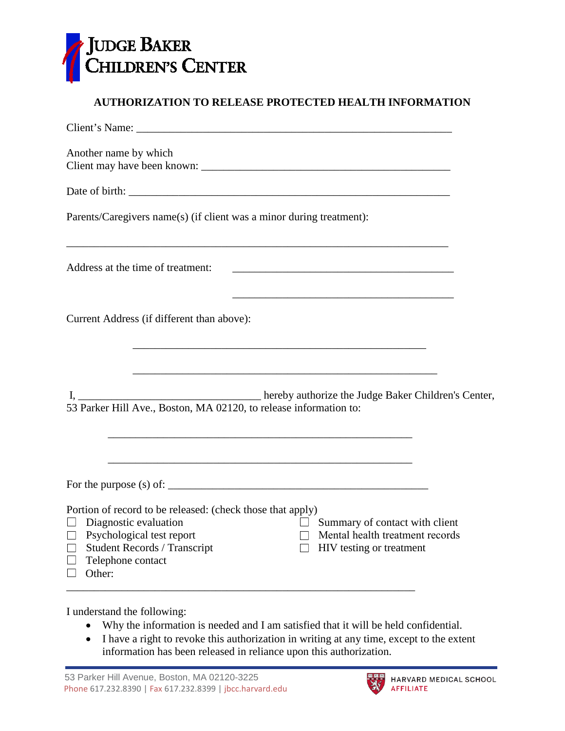

## **AUTHORIZATION TO RELEASE PROTECTED HEALTH INFORMATION**

| Another name by which                                                                                                                                                                                                                                                                                        |  |
|--------------------------------------------------------------------------------------------------------------------------------------------------------------------------------------------------------------------------------------------------------------------------------------------------------------|--|
|                                                                                                                                                                                                                                                                                                              |  |
| Parents/Caregivers name(s) (if client was a minor during treatment):                                                                                                                                                                                                                                         |  |
| ,我们也不会有什么。""我们的人,我们也不会有什么?""我们的人,我们也不会有什么?""我们的人,我们的人,我们也不会有什么?""我们的人,我们的人,我们的人,<br>Address at the time of treatment:                                                                                                                                                                                        |  |
| <u> 1989 - Johann Barn, margaret eta idazlear (h. 1989).</u><br>Current Address (if different than above):                                                                                                                                                                                                   |  |
| 53 Parker Hill Ave., Boston, MA 02120, to release information to:                                                                                                                                                                                                                                            |  |
|                                                                                                                                                                                                                                                                                                              |  |
| Portion of record to be released: (check those that apply)<br>$\Box$ Summary of contact with client<br>$\Box$ Diagnostic evaluation<br>Mental health treatment records<br>$\Box$ Psychological test report<br><b>Student Records / Transcript</b><br>HIV testing or treatment<br>Telephone contact<br>Other: |  |

I understand the following:

- Why the information is needed and I am satisfied that it will be held confidential.
- I have a right to revoke this authorization in writing at any time, except to the extent information has been released in reliance upon this authorization.